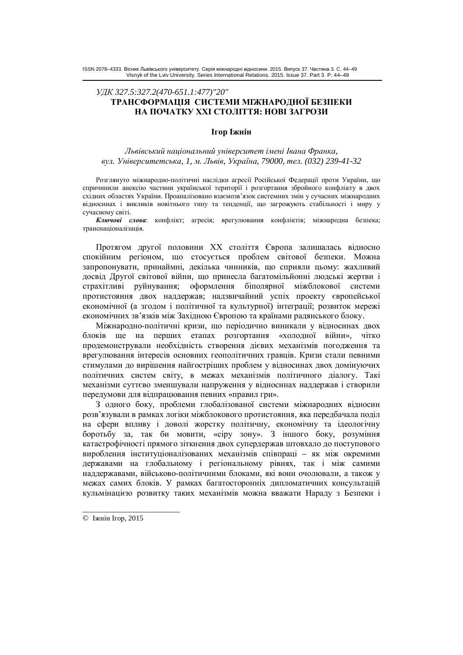# *ɍȾɄ 327.5:327.2(470-651.1:477)"20"* **ТРАНСФОРМАЦІЯ СИСТЕМИ МІЖНАРОДНОЇ БЕЗПЕКИ** НА ПОЧАТКУ XXI СТОЛІТТЯ: НОВІ ЗАГРОЗИ

## **Iгор Іжнін**

### *ɅɶɜɿɜɫɶɤɢɣɧɚɰɿɨɧɚɥɶɧɢɣɭɧɿɜɟɪɫɢɬɟɬɿɦɟɧɿȱɜɚɧɚɎɪɚɧɤɚ, ɜɭɥ. ɍɧɿɜɟɪɫɢɬɟɬɫɶɤɚ, 1, ɦ. Ʌɶɜɿɜ, ɍɤɪɚʀɧɚ, 79000, ɬɟɥ. (032) 239-41-32*

Розглянуго міжнародно-політичні наслідки агресії Російської Федерації проти України, що спричинили анексію частини української території і розгортання збройного конфлікту в двох східних областях України. Проаналізовано взаємозв'язок системних змін у сучасних міжнародних відносинах і викликів новітнього типу та тенденції, що загрожують стабільності і миру у сучасному світі.

**Ключові слова**: конфлікт; агресія; врегулювання конфліктів; міжнародна безпека; транснаціоналізація.

Протягом другої половини XX століття Європа залишалась відносно спокійним регіоном, що стосується проблем світової безпеки. Можна запропонувати, принаймні, декілька чинників, що сприяли цьому: жахливий досвід Другої світової війни, що принесла багатомільйонні людські жертви і страхітливі руйнування; оформлення біполярної міжблокової системи протистояння двох наддержав; надзвичайний успіх проекту європейської економічної (а згодом і політичної та культурної) інтеграції; розвиток мережі економічних зв'язків між Західною Європою та країнами радянського блоку.

Міжнародно-політичні кризи, що періодично виникали у відносинах двох блоків ще на перших етапах розгортання «холодної війни», чітко продемонстрували необхідність створення дієвих механізмів погодження та врегулювання інтересів основних геополітичних гравців. Кризи стали певними стимулами до вирішення найгостріших проблем у відносинах двох домінуючих політичних систем світу, в межах механізмів політичного діалогу. Такі механізми суттєво зменшували напруження у відносинах наддержав і створили передумови для відпрацювання певних «правил гри».

3 одного боку, проблеми глобалізованої системи міжнародних відносин розв'язували в рамках логіки міжблокового протистояння, яка передбачала поділ на сфери впливу і доволі жорстку політичну, економічну та ідеологічну боротьбу за, так би мовити, «сіру зону». З іншого боку, розуміння катастрофічності прямого зіткнення двох супердержав штовхало до поступового вироблення інституціоналізованих механізмів співпраці – як між окремими державами на глобальному і регіональному рівнях, так і між самими наллержавами, військово-політичними блоками, які вони очолювали, а також у межах самих блоків. У рамках багатосторонніх дипломатичних консультацій кульмінацією розвитку таких механізмів можна вважати Нараду з Безпеки і

\_\_\_\_\_\_\_\_\_\_\_\_\_\_\_\_\_\_\_\_\_\_\_\_\_

<sup>©</sup> Іжнін Ігор, 2015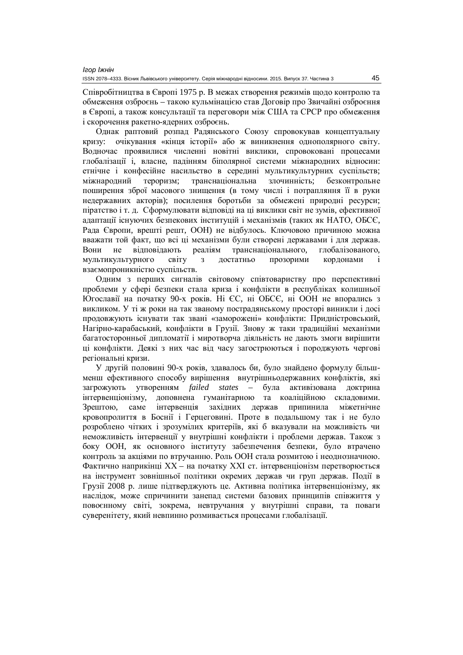Співробітництва в Європі 1975 р. В межах створення режимів щодо контролю та обмеження озброєнь – такою кульмінацією став Договір про Звичайні озброєння в Європі, а також консультації та переговори між США та СРСР про обмеження і скорочення ракетно-ядерних озброєнь.

Однак раптовий розпад Радянського Союзу спровокував концептуальну кризу: очікування «кінця історії» або ж виникнення однополярного світу. Водночас проявилися численні новітні виклики, спровоковані процесами глобалізації і, власне, падінням біполярної системи міжнародних відносин: етнічне і конфесійне насильство в середині мультикультурних суспільств; міжнародний тероризм; транснаціональна злочинність; безконтрольне поширення зброї масового знищення (в тому числі і потрапляння її в руки недержавних акторів); посилення боротьби за обмежені природні ресурси; піратство і т. л. Сформулювати вілповілі на ці виклики світ не зумів, ефективної адаптації існуючих безпекових інституцій і механізмів (таких як НАТО, ОБСЄ, Рада Європи, врешті решт, ООН) не відбулось. Ключовою причиною можна вважати той факт, що всі ці механізми були створені державами і для держав. Вони не відповідають реаліям транснаціонального, глобалізованого, мультикультурного світу з достатньо прозорими кордонами і взаємопроникністю суспільств.

Олним з перших сигналів світовому співтовариству про перспективні проблеми у сфері безпеки стала криза і конфлікти в республіках колишньої Югославії на початку 90-х років. Ні ЄС, ні ОБСЄ, ні ООН не впорались з викликом. У ті ж роки на так званому пострадянському просторі виникли і досі продовжують існувати так звані «заморожені» конфлікти: Придністровський, Нагірно-карабаський, конфлікти в Грузії. Знову ж таки традиційні механізми багатосторонньої дипломатії і миротворча ліяльність не дають змоги вирішити ці конфлікти. Деякі з них час від часу загострюються і породжують чергові регіональні кризи.

У другій половині 90-х років, здавалось би, було знайдено формулу більшменш ефективного способу вирішення внутрішньодержавних конфліктів, які загрожують утворенням *failed states* – була активізована доктрина інтервенціонізму, лоповнена гуманітарною та коаліційною склаловими, Зрештою, саме інтервенція західних держав припинила міжетнічне кровопролиття в Боснії і Герцеговині. Проте в подальшому так і не було розроблено чітких і зрозумілих критеріїв, які б вказували на можливість чи неможливість інтервенції у внутрішні конфлікти і проблеми держав. Також з боку ООН, як основного інституту забезпечення безпеки, було втрачено контроль за акціями по втручанню. Роль ООН стала розмитою і неоднозначною. Фактично наприкінці XX – на початку XXI ст. інтервенціонізм перетворюється на інструмент зовнішньої політики окремих держав чи груп держав. Події в Грузії 2008 р. лише підтверджують це. Активна політика інтервенціонізму, як наслідок, може спричинити занепад системи базових принципів співжиття у повоєнному світі, зокрема, невтручання у внутрішні справи, та поваги суверенітету, який невпинно розмивається процесами глобалізації.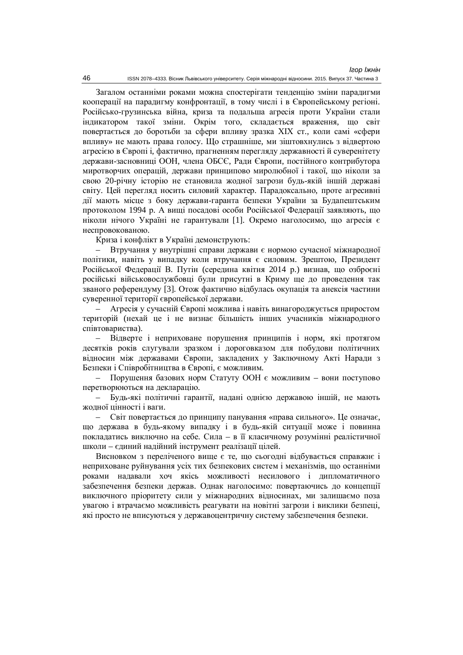Загалом останніми роками можна спостерігати тенденцію зміни парадигми кооперації на парадигму конфронтації, в тому числі і в Європейському регіоні. Російсько-грузинська війна, криза та подальша агресія проти України стали індикатором такої зміни. Окрім того, складається враження, що світ повертається до боротьби за сфери впливу зразка XIX ст., коли самі «сфери впливу» не мають права голосу. Що страшніше, ми зіштовхнулись з відвертою агресією в Європі і, фактично, прагненням перегляду державності й суверенітету держави-засновниці ООН, члена ОБСЄ, Ради Європи, постійного контрибутора миротворчих операцій, держави принципово миролюбної і такої, що ніколи за свою 20-річну історію не становила жодної загрози будь-якій іншій державі світу. Цей перегляд носить силовий характер. Парадоксально, проте агресивні дії мають місце з боку держави-гаранта безпеки України за Будапештським протоколом 1994 р. А виші посалові особи Російської Фелерації заявляють, що ніколи нічого Україні не гарантували [1]. Окремо наголосимо, що агресія є неспровокованою.

Криза і конфлікт в Україні демонструють:

Втручання у внутрішні справи держави є нормою сучасної міжнародної політики, навіть у випадку коли втручання є силовим. Зрештою, Президент Російської Федерації В. Путін (середина квітня 2014 р.) визнав, що озброєні російські військовослужбовці були присутні в Криму ще до провелення так званого референдуму [3]. Отож фактично відбулась окупація та анексія частини суверенної території європейської держави.

Агресія у сучасній Європі можлива і навіть винагороджується приростом територій (нехай це і не визнає більшість інших учасників міжнародного співтовариства).

Відверте і неприховане порушення принципів і норм, які протягом десятків років слугували зразком і дороговказом для побудови політичних відносин між державами Європи, закладених у Заключному Акті Наради з Безпеки і Співробітництва в Європі, є можливим.

 $-$  Порушення базових норм Статуту ООН є можливим – вони поступово перетворюються на декларацію.

Будь-які політичні гарантії, надані однією державою іншій, не мають жолної цінності і ваги.

Світ повертається до принципу панування «права сильного». Це означає, що держава в будь-якому випадку і в будь-якій ситуації може і повинна покладатись виключно на себе. Сила – в її класичному розумінні реалістичної школи – єдиний надійний інструмент реалізації цілей.

Висновком з переліченого вище є те, що сьогодні відбувається справжнє і неприховане руйнування усіх тих безпекових систем і механізмів, що останніми роками надавали хоч якісь можливості несилового і дипломатичного забезпечення безпеки держав. Однак наголосимо: повертаючись до концепції виключного пріоритету сили у міжнародних відносинах, ми залишаємо поза увагою і втрачаємо можливість реагувати на новітні загрози і виклики безпеці, які просто не вписуються у державоцентричну систему забезпечення безпеки.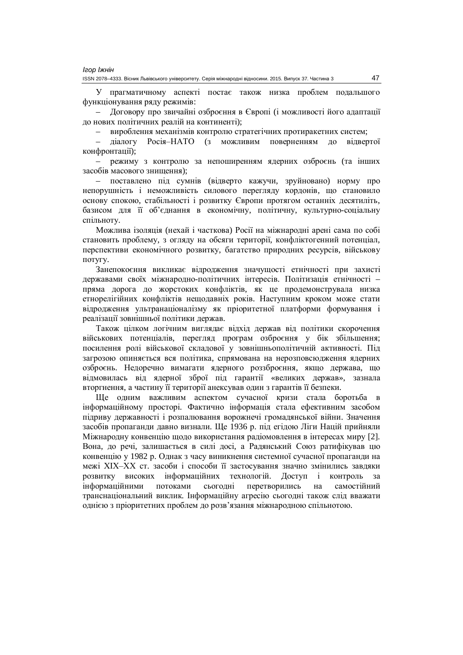У прагматичному аспекті постає також низка проблем подальшого функціонування ряду режимів:

Договору про звичайні озброєння в Європі (і можливості його адаптації до нових політичних реалій на континенті);

– вироблення механізмів контролю стратегічних протиракетних систем;

– діалогу Росія-НАТО (з можливим поверненням до відвертої конфронтації);

режиму з контролю за непоширенням ядерних озброєнь (та інших засобів масового знищення);

– поставлено під сумнів (відверто кажучи, зруйновано) норму про непорушність і неможливість силового перегляду кордонів, що становило основу спокою, стабільності і розвитку Європи протягом останніх десятиліть, базисом для її об'єднання в економічну, політичну, культурно-соціальну спільноту.

Можлива ізоляція (нехай і часткова) Росії на міжнародні арені сама по собі становить проблему, з огляду на обсяги території, конфліктогенний потенціал, перспективи економічного розвитку, багатство природних ресурсів, військову ΠΟΤVΓV.

.<br>Занепокоєння викликає вілролження значушості етнічності при захисті державами своїх міжнародно-політичних інтересів. Політизація етнічності – пряма дорога до жорстоких конфліктів, як це продемонструвала низка етнорелігійних конфліктів нещодавніх років. Наступним кроком може стати відродження ультранаціоналізму як пріоритетної платформи формування і реалізації зовнішньої політики держав.

Також цілком логічним виглядає відхід держав від політики скорочення військових потенціалів, перегляд програм озброєння у бік збільшення; посилення ролі військової складової у зовнішньополітичній активності. Під загрозою опиняється вся політика, спрямована на нерозповсюдження ядерних озброєнь. Недоречно вимагати ядерного роззброєння, якщо держава, що відмовилась від ядерної зброї під гарантії «великих держав», зазнала вторгнення, а частину її території анексував один з гарантів її безпеки.

Ще одним важливим аспектом сучасної кризи стала боротьба в інформаційному просторі. Фактично інформація стала ефективним засобом підриву державності і розпалювання ворожнечі громадянської війни. Значення засобів пропаганди давно визнали. Ще 1936 р. під егідою Ліги Націй прийняли Міжнародну конвенцію щодо використання радіомовлення в інтересах миру [2]. Вона, до речі, залишається в силі досі, а Радянський Союз ратифікував цю конвенцію у 1982 р. Однак з часу виникнення системної сучасної пропаганди на межі ХІХ-ХХ ст. засоби і способи її застосування значно змінились завдяки розвитку високих інформаційних технологій. Доступ і контроль за інформаційними потоками сьогодні перетворились на самостійний транснаціональний виклик. Інформаційну агресію сьогодні також слід вважати однією з пріоритетних проблем до розв'язання міжнародною спільнотою.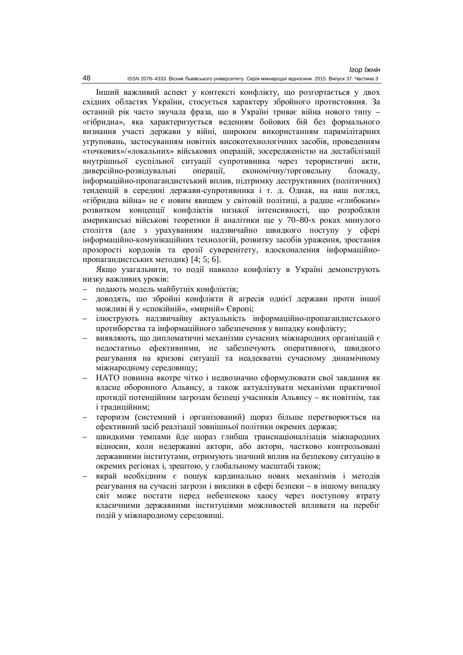Інший важливий аспект у контексті конфлікту, що розгортається у двох східних областях України, стосується характеру збройного протистояння. За останній рік часто звучала фраза, що в Україні триває війна нового типу – «гібридна», яка характеризується веденням бойових бій без формального визнання участі держави у війні, широким використанням парамілітарних VГРУПОВАНЬ, ЗАСТОСУВАННЯМ НОВІТНІХ ВИСОКОТЕХНОЛОГІЧНИХ ЗАСОбІВ, ПРОВЕДЕННЯМ «точкових»/«локальних» військових операцій, зосередженістю на дестабілізації внутрішньої суспільної ситуації супротивника через терористичні акти, диверсійно-розвідувальні операції, економічну/торговельну блокаду, інформаційно-пропагандистський вплив, підтримку деструктивних (політичних) тенденцій в середині держави-супротивника і т. д. Однак, на наш погляд, «гібридна війна» не є новим явищем у світовій політиці, а радше «глибоким» розвитком концепції конфліктів низької інтенсивності, що розробляли американські військові теоретики й аналітики ще у 70–80-х роках минулого століття (але з урахуванням надзвичайно швидкого поступу у сфері інформаційно-комунікаційних технологій, розвитку засобів ураження, зростання прозорості кордонів та ерозії суверенітету, вдосконалення інформаційнопропагандистських методик) [4; 5; 6].

Якшо узагальнити, то полії навколо конфлікту в Україні лемонструють низку важливих уроків:

- подають модель майбутніх конфліктів;
- доводять, що збройні конфлікти й агресія однієї держави проти іншої можливі й у «спокійній», «мирній» Європі;
- ілюструють надзвичайну актуальність інформаційно-пропагандистського протиборства та інформаційного забезпечення у випадку конфлікту;
- виявляють, що липломатичні механізми сучасних міжнародних організацій є недостатньо ефективними, не забезпечують оперативного, швидкого реагування на кризові ситуації та неадекватні сучасному динамічному міжнародному середовищу;
- НАТО повинна вкотре чітко і недвозначно сформулювати свої завдання як власне оборонного Альянсу, а також актуалізувати механізми практичної протидії потенційним загрозам безпеці учасників Альянсу – як новітнім, так і тралиційним:
- тероризм (системний і організований) щораз більше перетворюється на ефективний засіб реалізації зовнішньої політики окремих держав;
- швидкими темпами йде щораз глибша транснаціоналізація міжнародних відносин, коли недержавні актори, або актори, частково контрольовані державними інститутами, отримують значний вплив на безпекову ситуацію в окремих регіонах і, зрештою, у глобальному масштабі також;
- вкрай необхідним є пошук кардинально нових механізмів і методів реагування на сучасні загрози і виклики в сфері безпеки – в іншому випадку світ може постати перед небезпекою хаосу через поступову втрату класичними державними інституціями можливостей впливати на перебіг полій у міжнародному середовищі.